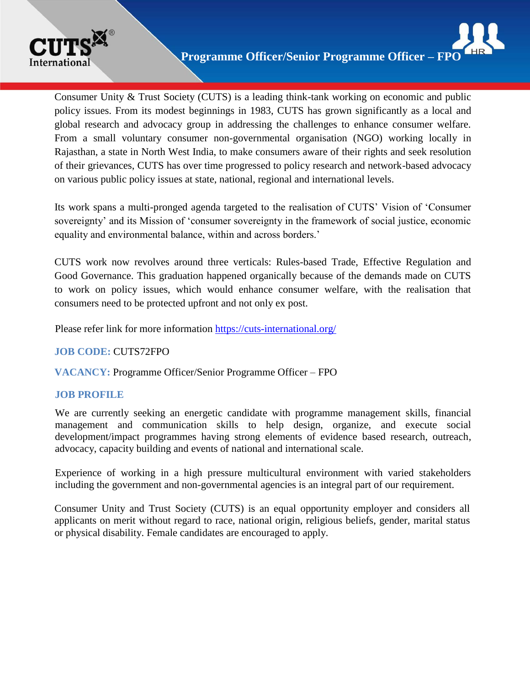

Consumer Unity & Trust Society (CUTS) is a leading think-tank working on economic and public policy issues. From its modest beginnings in 1983, CUTS has grown significantly as a local and global research and advocacy group in addressing the challenges to enhance consumer welfare. From a small voluntary consumer non-governmental organisation (NGO) working locally in Rajasthan, a state in North West India, to make consumers aware of their rights and seek resolution of their grievances, CUTS has over time progressed to policy research and network-based advocacy on various public policy issues at state, national, regional and international levels.

Its work spans a multi-pronged agenda targeted to the realisation of CUTS' Vision of 'Consumer sovereignty' and its Mission of 'consumer sovereignty in the framework of social justice, economic equality and environmental balance, within and across borders.'

CUTS work now revolves around three verticals: Rules-based Trade, Effective Regulation and Good Governance. This graduation happened organically because of the demands made on CUTS to work on policy issues, which would enhance consumer welfare, with the realisation that consumers need to be protected upfront and not only ex post.

Please refer link for more information <https://cuts-international.org/>

#### **JOB CODE:** CUTS72FPO

**VACANCY:** Programme Officer/Senior Programme Officer – FPO

#### **JOB PROFILE**

We are currently seeking an energetic candidate with programme management skills, financial management and communication skills to help design, organize, and execute social development/impact programmes having strong elements of evidence based research, outreach, advocacy, capacity building and events of national and international scale.

Experience of working in a high pressure multicultural environment with varied stakeholders including the government and non-governmental agencies is an integral part of our requirement.

Consumer Unity and Trust Society (CUTS) is an equal opportunity employer and considers all applicants on merit without regard to race, national origin, religious beliefs, gender, marital status or physical disability. Female candidates are encouraged to apply.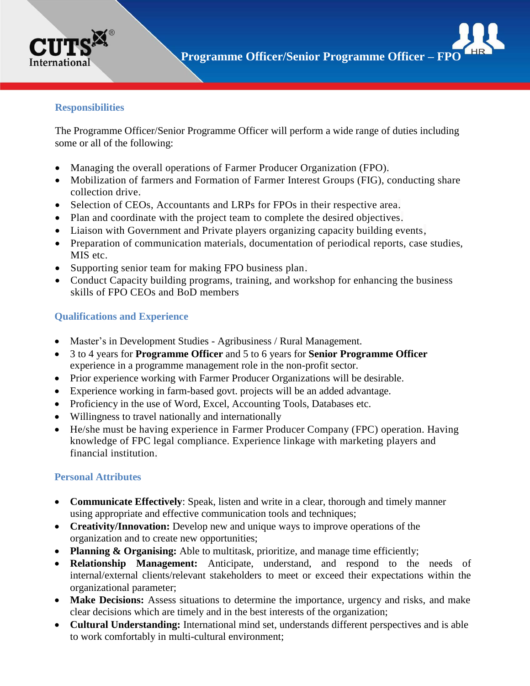

# **Responsibilities**

The Programme Officer/Senior Programme Officer will perform a wide range of duties including some or all of the following:

- Managing the overall operations of Farmer Producer Organization (FPO).
- Mobilization of farmers and Formation of Farmer Interest Groups (FIG), conducting share collection drive.
- Selection of CEOs, Accountants and LRPs for FPOs in their respective area.
- Plan and coordinate with the project team to complete the desired objectives.
- Liaison with Government and Private players organizing capacity building events,
- Preparation of communication materials, documentation of periodical reports, case studies, MIS etc.
- Supporting senior team for making FPO business plan.
- Conduct Capacity building programs, training, and workshop for enhancing the business skills of FPO CEOs and BoD members

## **Qualifications and Experience**

- Master's in Development Studies Agribusiness / Rural Management.
- 3 to 4 years for **Programme Officer** and 5 to 6 years for **Senior Programme Officer** experience in a programme management role in the non-profit sector.
- Prior experience working with Farmer Producer Organizations will be desirable.
- Experience working in farm-based govt. projects will be an added advantage.
- Proficiency in the use of Word, Excel, Accounting Tools, Databases etc.
- Willingness to travel nationally and internationally
- He/she must be having experience in Farmer Producer Company (FPC) operation. Having knowledge of FPC legal compliance. Experience linkage with marketing players and financial institution.

#### **Personal Attributes**

- **Communicate Effectively**: Speak, listen and write in a clear, thorough and timely manner using appropriate and effective communication tools and techniques;
- **Creativity/Innovation:** Develop new and unique ways to improve operations of the organization and to create new opportunities;
- Planning & Organising: Able to multitask, prioritize, and manage time efficiently;
- **Relationship Management:** Anticipate, understand, and respond to the needs of internal/external clients/relevant stakeholders to meet or exceed their expectations within the organizational parameter;
- Make Decisions: Assess situations to determine the importance, urgency and risks, and make clear decisions which are timely and in the best interests of the organization;
- **Cultural Understanding:** International mind set, understands different perspectives and is able to work comfortably in multi-cultural environment;